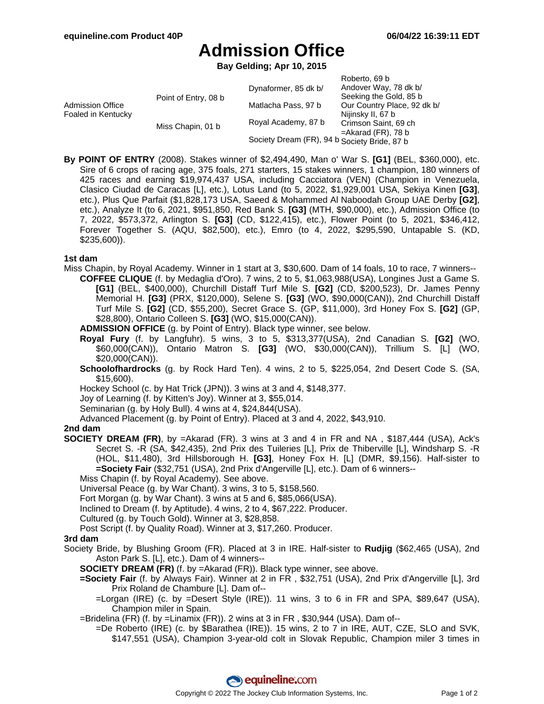# **Admission Office**

**Bay Gelding; Apr 10, 2015**

|                                        |                      |                                              | Roberto, 69 b               |
|----------------------------------------|----------------------|----------------------------------------------|-----------------------------|
| Admission Office<br>Foaled in Kentucky | Point of Entry, 08 b | Dynaformer, 85 dk b/                         | Andover Way, 78 dk b/       |
|                                        |                      |                                              | Seeking the Gold, 85 b      |
|                                        |                      | Matlacha Pass, 97 b                          | Our Country Place, 92 dk b/ |
|                                        |                      |                                              | Nijinsky II, 67 b           |
|                                        | Miss Chapin, 01 b    | Royal Academy, 87 b                          | Crimson Saint, 69 ch        |
|                                        |                      |                                              | $=$ Akarad (FR), 78 b       |
|                                        |                      | Society Dream (FR), 94 b Society Bride, 87 b |                             |

**By POINT OF ENTRY** (2008). Stakes winner of \$2,494,490, Man o' War S. **[G1]** (BEL, \$360,000), etc. Sire of 6 crops of racing age, 375 foals, 271 starters, 15 stakes winners, 1 champion, 180 winners of 425 races and earning \$19,974,437 USA, including Cacciatora (VEN) (Champion in Venezuela, Clasico Ciudad de Caracas [L], etc.), Lotus Land (to 5, 2022, \$1,929,001 USA, Sekiya Kinen **[G3]**, etc.), Plus Que Parfait (\$1,828,173 USA, Saeed & Mohammed Al Naboodah Group UAE Derby **[G2]**, etc.), Analyze It (to 6, 2021, \$951,850, Red Bank S. **[G3]** (MTH, \$90,000), etc.), Admission Office (to 7, 2022, \$573,372, Arlington S. **[G3]** (CD, \$122,415), etc.), Flower Point (to 5, 2021, \$346,412, Forever Together S. (AQU, \$82,500), etc.), Emro (to 4, 2022, \$295,590, Untapable S. (KD, \$235,600)).

### **1st dam**

- Miss Chapin, by Royal Academy. Winner in 1 start at 3, \$30,600. Dam of 14 foals, 10 to race, 7 winners-- **COFFEE CLIQUE** (f. by Medaglia d'Oro). 7 wins, 2 to 5, \$1,063,988(USA), Longines Just a Game S.
	- **[G1]** (BEL, \$400,000), Churchill Distaff Turf Mile S. **[G2]** (CD, \$200,523), Dr. James Penny Memorial H. **[G3]** (PRX, \$120,000), Selene S. **[G3]** (WO, \$90,000(CAN)), 2nd Churchill Distaff Turf Mile S. **[G2]** (CD, \$55,200), Secret Grace S. (GP, \$11,000), 3rd Honey Fox S. **[G2]** (GP, \$28,800), Ontario Colleen S. **[G3]** (WO, \$15,000(CAN)).
	- **ADMISSION OFFICE** (g. by Point of Entry). Black type winner, see below.
	- **Royal Fury** (f. by Langfuhr). 5 wins, 3 to 5, \$313,377(USA), 2nd Canadian S. **[G2]** (WO, \$60,000(CAN)), Ontario Matron S. **[G3]** (WO, \$30,000(CAN)), Trillium S. [L] (WO, \$20,000(CAN)).
	- **Schoolofhardrocks** (g. by Rock Hard Ten). 4 wins, 2 to 5, \$225,054, 2nd Desert Code S. (SA, \$15,600).

Hockey School (c. by Hat Trick (JPN)). 3 wins at 3 and 4, \$148,377.

Joy of Learning (f. by Kitten's Joy). Winner at 3, \$55,014.

Seminarian (g. by Holy Bull). 4 wins at 4, \$24,844(USA).

Advanced Placement (g. by Point of Entry). Placed at 3 and 4, 2022, \$43,910.

#### **2nd dam**

- **SOCIETY DREAM (FR)**, by =Akarad (FR). 3 wins at 3 and 4 in FR and NA , \$187,444 (USA), Ack's Secret S. -R (SA, \$42,435), 2nd Prix des Tuileries [L], Prix de Thiberville [L], Windsharp S. -R (HOL, \$11,480), 3rd Hillsborough H. **[G3]**, Honey Fox H. [L] (DMR, \$9,156). Half-sister to **=Society Fair** (\$32,751 (USA), 2nd Prix d'Angerville [L], etc.). Dam of 6 winners--
	- Miss Chapin (f. by Royal Academy). See above.

Universal Peace (g. by War Chant). 3 wins, 3 to 5, \$158,560.

Fort Morgan (g. by War Chant). 3 wins at 5 and 6, \$85,066(USA).

Inclined to Dream (f. by Aptitude). 4 wins, 2 to 4, \$67,222. Producer.

Cultured (g. by Touch Gold). Winner at 3, \$28,858.

Post Script (f. by Quality Road). Winner at 3, \$17,260. Producer.

#### **3rd dam**

Society Bride, by Blushing Groom (FR). Placed at 3 in IRE. Half-sister to **Rudjig** (\$62,465 (USA), 2nd Aston Park S. [L], etc.). Dam of 4 winners--

**SOCIETY DREAM (FR)** (f. by =Akarad (FR)). Black type winner, see above.

- **=Society Fair** (f. by Always Fair). Winner at 2 in FR , \$32,751 (USA), 2nd Prix d'Angerville [L], 3rd Prix Roland de Chambure [L]. Dam of--
	- =Lorgan (IRE) (c. by =Desert Style (IRE)). 11 wins, 3 to 6 in FR and SPA, \$89,647 (USA), Champion miler in Spain.

=Bridelina (FR) (f. by =Linamix (FR)). 2 wins at 3 in FR , \$30,944 (USA). Dam of--

=De Roberto (IRE) (c. by \$Barathea (IRE)). 15 wins, 2 to 7 in IRE, AUT, CZE, SLO and SVK, \$147,551 (USA), Champion 3-year-old colt in Slovak Republic, Champion miler 3 times in